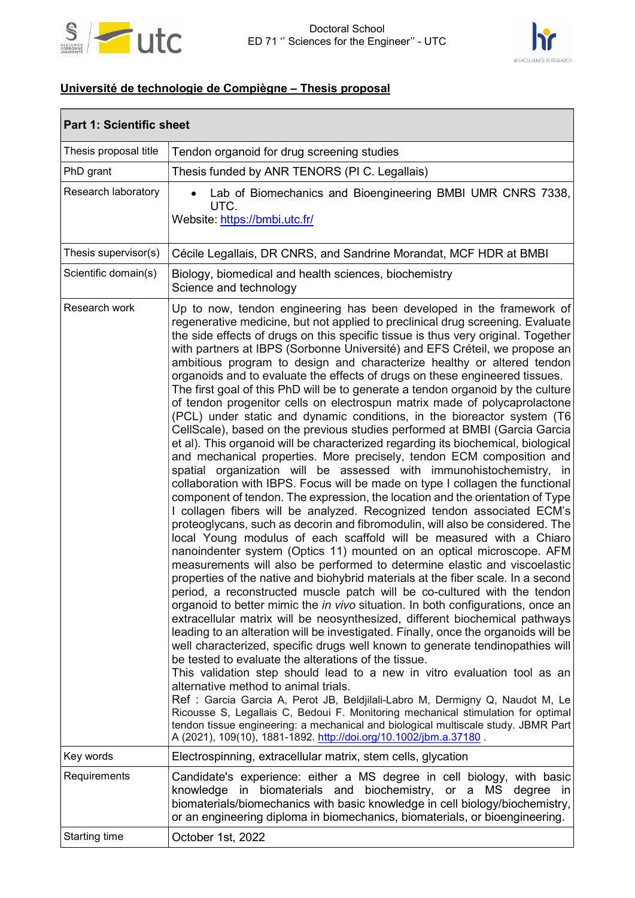



## Université de technologie de Compiègne – Thesis proposal

| <b>Part 1: Scientific sheet</b> |                                                                                                                                                                                                                                                                                                                                                                                                                                                                                                                                                                                                                                                                                                                                                                                                                                                                                                                                                                                                                                                                                                                                                                                                                                                                                                                                                                                                                                                                                                                                                                                                                                                                                                                                                                                                                                                                                                                                                                                                                                                                                                                                                                                                                                                                                                                                                                                                                                                                                                                                                            |
|---------------------------------|------------------------------------------------------------------------------------------------------------------------------------------------------------------------------------------------------------------------------------------------------------------------------------------------------------------------------------------------------------------------------------------------------------------------------------------------------------------------------------------------------------------------------------------------------------------------------------------------------------------------------------------------------------------------------------------------------------------------------------------------------------------------------------------------------------------------------------------------------------------------------------------------------------------------------------------------------------------------------------------------------------------------------------------------------------------------------------------------------------------------------------------------------------------------------------------------------------------------------------------------------------------------------------------------------------------------------------------------------------------------------------------------------------------------------------------------------------------------------------------------------------------------------------------------------------------------------------------------------------------------------------------------------------------------------------------------------------------------------------------------------------------------------------------------------------------------------------------------------------------------------------------------------------------------------------------------------------------------------------------------------------------------------------------------------------------------------------------------------------------------------------------------------------------------------------------------------------------------------------------------------------------------------------------------------------------------------------------------------------------------------------------------------------------------------------------------------------------------------------------------------------------------------------------------------------|
| Thesis proposal title           | Tendon organoid for drug screening studies                                                                                                                                                                                                                                                                                                                                                                                                                                                                                                                                                                                                                                                                                                                                                                                                                                                                                                                                                                                                                                                                                                                                                                                                                                                                                                                                                                                                                                                                                                                                                                                                                                                                                                                                                                                                                                                                                                                                                                                                                                                                                                                                                                                                                                                                                                                                                                                                                                                                                                                 |
| PhD grant                       | Thesis funded by ANR TENORS (PI C. Legallais)                                                                                                                                                                                                                                                                                                                                                                                                                                                                                                                                                                                                                                                                                                                                                                                                                                                                                                                                                                                                                                                                                                                                                                                                                                                                                                                                                                                                                                                                                                                                                                                                                                                                                                                                                                                                                                                                                                                                                                                                                                                                                                                                                                                                                                                                                                                                                                                                                                                                                                              |
| Research laboratory             | Lab of Biomechanics and Bioengineering BMBI UMR CNRS 7338,<br>UTC.<br>Website: https://bmbi.utc.fr/                                                                                                                                                                                                                                                                                                                                                                                                                                                                                                                                                                                                                                                                                                                                                                                                                                                                                                                                                                                                                                                                                                                                                                                                                                                                                                                                                                                                                                                                                                                                                                                                                                                                                                                                                                                                                                                                                                                                                                                                                                                                                                                                                                                                                                                                                                                                                                                                                                                        |
| Thesis supervisor(s)            | Cécile Legallais, DR CNRS, and Sandrine Morandat, MCF HDR at BMBI                                                                                                                                                                                                                                                                                                                                                                                                                                                                                                                                                                                                                                                                                                                                                                                                                                                                                                                                                                                                                                                                                                                                                                                                                                                                                                                                                                                                                                                                                                                                                                                                                                                                                                                                                                                                                                                                                                                                                                                                                                                                                                                                                                                                                                                                                                                                                                                                                                                                                          |
| Scientific domain(s)            | Biology, biomedical and health sciences, biochemistry<br>Science and technology                                                                                                                                                                                                                                                                                                                                                                                                                                                                                                                                                                                                                                                                                                                                                                                                                                                                                                                                                                                                                                                                                                                                                                                                                                                                                                                                                                                                                                                                                                                                                                                                                                                                                                                                                                                                                                                                                                                                                                                                                                                                                                                                                                                                                                                                                                                                                                                                                                                                            |
| Research work                   | Up to now, tendon engineering has been developed in the framework of<br>regenerative medicine, but not applied to preclinical drug screening. Evaluate<br>the side effects of drugs on this specific tissue is thus very original. Together<br>with partners at IBPS (Sorbonne Université) and EFS Créteil, we propose an<br>ambitious program to design and characterize healthy or altered tendon<br>organoids and to evaluate the effects of drugs on these engineered tissues.<br>The first goal of this PhD will be to generate a tendon organoid by the culture<br>of tendon progenitor cells on electrospun matrix made of polycaprolactone<br>(PCL) under static and dynamic conditions, in the bioreactor system (T6<br>CellScale), based on the previous studies performed at BMBI (Garcia Garcia<br>et al). This organoid will be characterized regarding its biochemical, biological<br>and mechanical properties. More precisely, tendon ECM composition and<br>spatial organization will be assessed with immunohistochemistry, in<br>collaboration with IBPS. Focus will be made on type I collagen the functional<br>component of tendon. The expression, the location and the orientation of Type<br>I collagen fibers will be analyzed. Recognized tendon associated ECM's<br>proteoglycans, such as decorin and fibromodulin, will also be considered. The<br>local Young modulus of each scaffold will be measured with a Chiaro<br>nanoindenter system (Optics 11) mounted on an optical microscope. AFM<br>measurements will also be performed to determine elastic and viscoelastic<br>properties of the native and biohybrid materials at the fiber scale. In a second<br>period, a reconstructed muscle patch will be co-cultured with the tendon<br>organoid to better mimic the in vivo situation. In both configurations, once an<br>extracellular matrix will be neosynthesized, different biochemical pathways<br>leading to an alteration will be investigated. Finally, once the organoids will be<br>well characterized, specific drugs well known to generate tendinopathies will<br>be tested to evaluate the alterations of the tissue.<br>This validation step should lead to a new in vitro evaluation tool as an<br>alternative method to animal trials.<br>Ref : Garcia Garcia A, Perot JB, Beldjilali-Labro M, Dermigny Q, Naudot M, Le<br>Ricousse S, Legallais C, Bedoui F. Monitoring mechanical stimulation for optimal<br>tendon tissue engineering: a mechanical and biological multiscale study. JBMR Part |
| Key words                       | Electrospinning, extracellular matrix, stem cells, glycation                                                                                                                                                                                                                                                                                                                                                                                                                                                                                                                                                                                                                                                                                                                                                                                                                                                                                                                                                                                                                                                                                                                                                                                                                                                                                                                                                                                                                                                                                                                                                                                                                                                                                                                                                                                                                                                                                                                                                                                                                                                                                                                                                                                                                                                                                                                                                                                                                                                                                               |
| Requirements                    | Candidate's experience: either a MS degree in cell biology, with basic<br>in biomaterials and biochemistry, or a<br>knowledge<br>MS degree in<br>biomaterials/biomechanics with basic knowledge in cell biology/biochemistry,<br>or an engineering diploma in biomechanics, biomaterials, or bioengineering.                                                                                                                                                                                                                                                                                                                                                                                                                                                                                                                                                                                                                                                                                                                                                                                                                                                                                                                                                                                                                                                                                                                                                                                                                                                                                                                                                                                                                                                                                                                                                                                                                                                                                                                                                                                                                                                                                                                                                                                                                                                                                                                                                                                                                                               |
| Starting time                   | October 1st, 2022                                                                                                                                                                                                                                                                                                                                                                                                                                                                                                                                                                                                                                                                                                                                                                                                                                                                                                                                                                                                                                                                                                                                                                                                                                                                                                                                                                                                                                                                                                                                                                                                                                                                                                                                                                                                                                                                                                                                                                                                                                                                                                                                                                                                                                                                                                                                                                                                                                                                                                                                          |